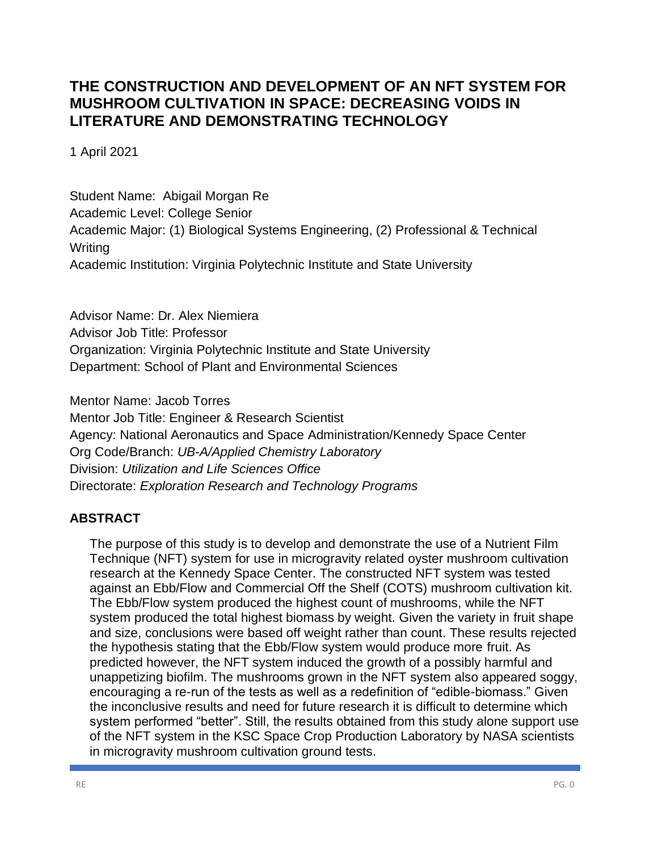# **THE CONSTRUCTION AND DEVELOPMENT OF AN NFT SYSTEM FOR MUSHROOM CULTIVATION IN SPACE: DECREASING VOIDS IN LITERATURE AND DEMONSTRATING TECHNOLOGY**

1 April 2021

Student Name: Abigail Morgan Re Academic Level: College Senior Academic Major: (1) Biological Systems Engineering, (2) Professional & Technical Writing Academic Institution: Virginia Polytechnic Institute and State University

Advisor Name: Dr. Alex Niemiera Advisor Job Title: Professor Organization: Virginia Polytechnic Institute and State University Department: School of Plant and Environmental Sciences

Mentor Name: Jacob Torres Mentor Job Title: Engineer & Research Scientist Agency: National Aeronautics and Space Administration/Kennedy Space Center Org Code/Branch: *UB-A/Applied Chemistry Laboratory* Division: *Utilization and Life Sciences Office*  Directorate: *Exploration Research and Technology Programs*

# **ABSTRACT**

The purpose of this study is to develop and demonstrate the use of a Nutrient Film Technique (NFT) system for use in microgravity related oyster mushroom cultivation research at the Kennedy Space Center. The constructed NFT system was tested against an Ebb/Flow and Commercial Off the Shelf (COTS) mushroom cultivation kit. The Ebb/Flow system produced the highest count of mushrooms, while the NFT system produced the total highest biomass by weight. Given the variety in fruit shape and size, conclusions were based off weight rather than count. These results rejected the hypothesis stating that the Ebb/Flow system would produce more fruit. As predicted however, the NFT system induced the growth of a possibly harmful and unappetizing biofilm. The mushrooms grown in the NFT system also appeared soggy, encouraging a re-run of the tests as well as a redefinition of "edible-biomass." Given the inconclusive results and need for future research it is difficult to determine which system performed "better". Still, the results obtained from this study alone support use of the NFT system in the KSC Space Crop Production Laboratory by NASA scientists in microgravity mushroom cultivation ground tests.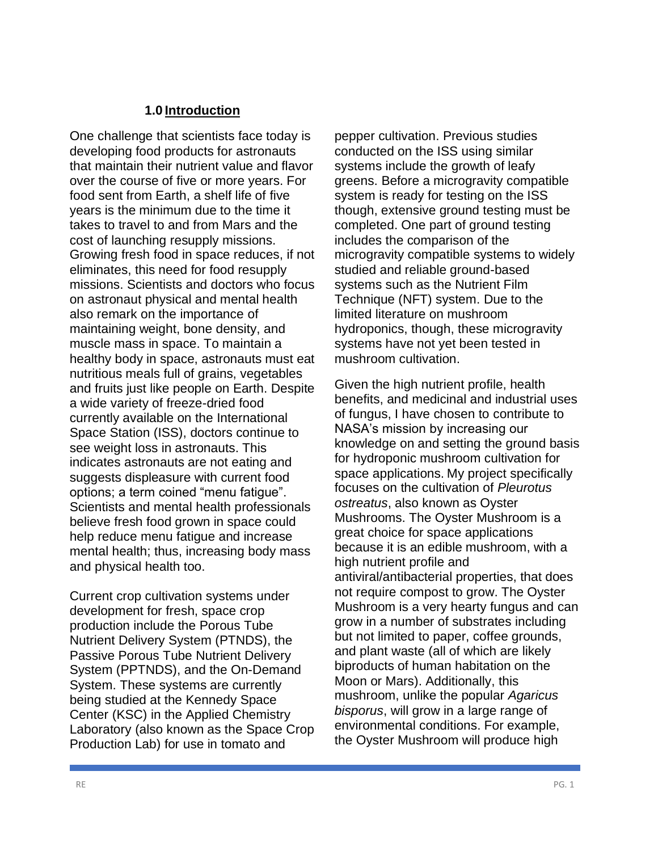#### **1.0 Introduction**

One challenge that scientists face today is developing food products for astronauts that maintain their nutrient value and flavor over the course of five or more years. For food sent from Earth, a shelf life of five years is the minimum due to the time it takes to travel to and from Mars and the cost of launching resupply missions. Growing fresh food in space reduces, if not eliminates, this need for food resupply missions. Scientists and doctors who focus on astronaut physical and mental health also remark on the importance of maintaining weight, bone density, and muscle mass in space. To maintain a healthy body in space, astronauts must eat nutritious meals full of grains, vegetables and fruits just like people on Earth. Despite a wide variety of freeze-dried food currently available on the International Space Station (ISS), doctors continue to see weight loss in astronauts. This indicates astronauts are not eating and suggests displeasure with current food options; a term coined "menu fatigue". Scientists and mental health professionals believe fresh food grown in space could help reduce menu fatigue and increase mental health; thus, increasing body mass and physical health too.

Current crop cultivation systems under development for fresh, space crop production include the Porous Tube Nutrient Delivery System (PTNDS), the Passive Porous Tube Nutrient Delivery System (PPTNDS), and the On-Demand System. These systems are currently being studied at the Kennedy Space Center (KSC) in the Applied Chemistry Laboratory (also known as the Space Crop Production Lab) for use in tomato and

pepper cultivation. Previous studies conducted on the ISS using similar systems include the growth of leafy greens. Before a microgravity compatible system is ready for testing on the ISS though, extensive ground testing must be completed. One part of ground testing includes the comparison of the microgravity compatible systems to widely studied and reliable ground-based systems such as the Nutrient Film Technique (NFT) system. Due to the limited literature on mushroom hydroponics, though, these microgravity systems have not yet been tested in mushroom cultivation.

Given the high nutrient profile, health benefits, and medicinal and industrial uses of fungus, I have chosen to contribute to NASA's mission by increasing our knowledge on and setting the ground basis for hydroponic mushroom cultivation for space applications. My project specifically focuses on the cultivation of *Pleurotus ostreatus*, also known as Oyster Mushrooms. The Oyster Mushroom is a great choice for space applications because it is an edible mushroom, with a high nutrient profile and antiviral/antibacterial properties, that does not require compost to grow. The Oyster Mushroom is a very hearty fungus and can grow in a number of substrates including but not limited to paper, coffee grounds, and plant waste (all of which are likely biproducts of human habitation on the Moon or Mars). Additionally, this mushroom, unlike the popular *Agaricus bisporus*, will grow in a large range of environmental conditions. For example, the Oyster Mushroom will produce high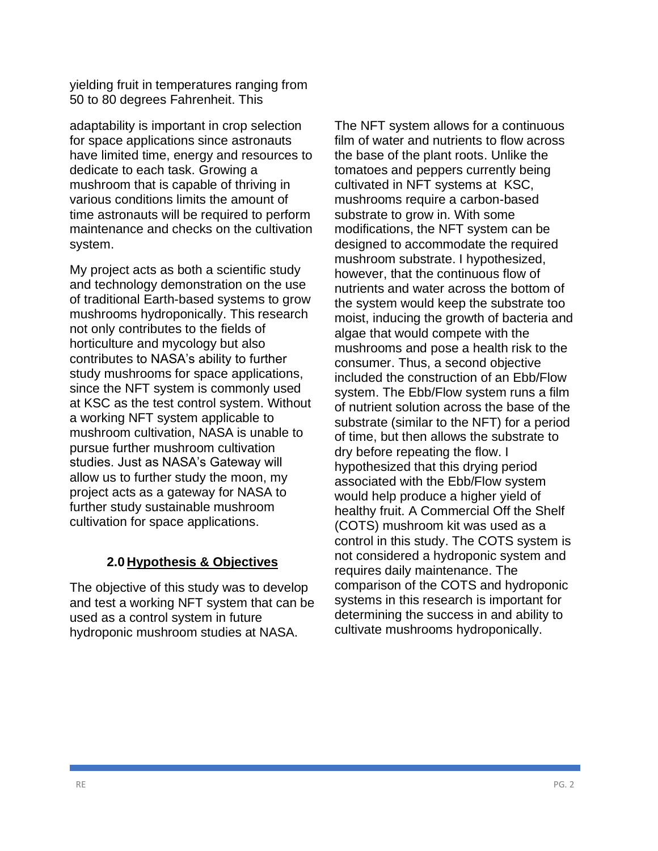yielding fruit in temperatures ranging from 50 to 80 degrees Fahrenheit. This

adaptability is important in crop selection for space applications since astronauts have limited time, energy and resources to dedicate to each task. Growing a mushroom that is capable of thriving in various conditions limits the amount of time astronauts will be required to perform maintenance and checks on the cultivation system.

My project acts as both a scientific study and technology demonstration on the use of traditional Earth-based systems to grow mushrooms hydroponically. This research not only contributes to the fields of horticulture and mycology but also contributes to NASA's ability to further study mushrooms for space applications, since the NFT system is commonly used at KSC as the test control system. Without a working NFT system applicable to mushroom cultivation, NASA is unable to pursue further mushroom cultivation studies. Just as NASA's Gateway will allow us to further study the moon, my project acts as a gateway for NASA to further study sustainable mushroom cultivation for space applications.

# **2.0 Hypothesis & Objectives**

The objective of this study was to develop and test a working NFT system that can be used as a control system in future hydroponic mushroom studies at NASA.

The NFT system allows for a continuous film of water and nutrients to flow across the base of the plant roots. Unlike the tomatoes and peppers currently being cultivated in NFT systems at KSC, mushrooms require a carbon-based substrate to grow in. With some modifications, the NFT system can be designed to accommodate the required mushroom substrate. I hypothesized, however, that the continuous flow of nutrients and water across the bottom of the system would keep the substrate too moist, inducing the growth of bacteria and algae that would compete with the mushrooms and pose a health risk to the consumer. Thus, a second objective included the construction of an Ebb/Flow system. The Ebb/Flow system runs a film of nutrient solution across the base of the substrate (similar to the NFT) for a period of time, but then allows the substrate to dry before repeating the flow. I hypothesized that this drying period associated with the Ebb/Flow system would help produce a higher yield of healthy fruit. A Commercial Off the Shelf (COTS) mushroom kit was used as a control in this study. The COTS system is not considered a hydroponic system and requires daily maintenance. The comparison of the COTS and hydroponic systems in this research is important for determining the success in and ability to cultivate mushrooms hydroponically.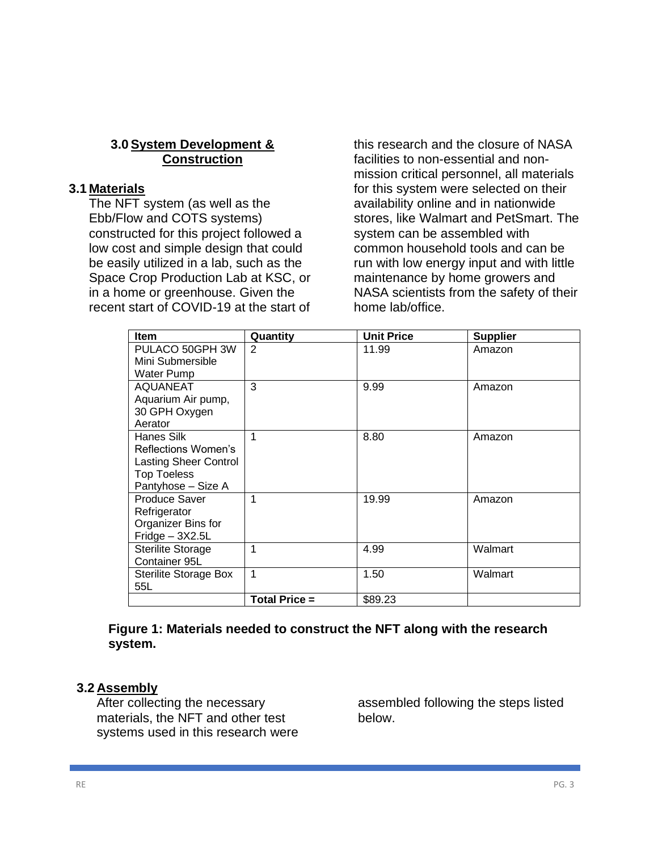### **3.0 System Development & Construction**

#### **3.1 Materials**

The NFT system (as well as the Ebb/Flow and COTS systems) constructed for this project followed a low cost and simple design that could be easily utilized in a lab, such as the Space Crop Production Lab at KSC, or in a home or greenhouse. Given the recent start of COVID-19 at the start of

this research and the closure of NASA facilities to non-essential and nonmission critical personnel, all materials for this system were selected on their availability online and in nationwide stores, like Walmart and PetSmart. The system can be assembled with common household tools and can be run with low energy input and with little maintenance by home growers and NASA scientists from the safety of their home lab/office.

| <b>Item</b>                                        | Quantity             | <b>Unit Price</b> | <b>Supplier</b> |
|----------------------------------------------------|----------------------|-------------------|-----------------|
| PULACO 50GPH 3W<br>Mini Submersible                | 2                    | 11.99             | Amazon          |
| <b>Water Pump</b>                                  |                      |                   |                 |
| <b>AQUANEAT</b>                                    | 3                    | 9.99              | Amazon          |
| Aquarium Air pump,                                 |                      |                   |                 |
| 30 GPH Oxygen<br>Aerator                           |                      |                   |                 |
| Hanes Silk                                         | 1                    | 8.80              | Amazon          |
| Reflections Women's                                |                      |                   |                 |
| <b>Lasting Sheer Control</b><br><b>Top Toeless</b> |                      |                   |                 |
| Pantyhose - Size A                                 |                      |                   |                 |
| <b>Produce Saver</b>                               | 1                    | 19.99             | Amazon          |
| Refrigerator                                       |                      |                   |                 |
| Organizer Bins for<br>$Fridge - 3X2.5L$            |                      |                   |                 |
| <b>Sterilite Storage</b>                           | 1                    | 4.99              | Walmart         |
| Container 95L                                      |                      |                   |                 |
| <b>Sterilite Storage Box</b>                       | 1                    | 1.50              | Walmart         |
| 55L                                                |                      |                   |                 |
|                                                    | <b>Total Price =</b> | \$89.23           |                 |

#### **Figure 1: Materials needed to construct the NFT along with the research system.**

### **3.2 Assembly**

After collecting the necessary materials, the NFT and other test systems used in this research were assembled following the steps listed below.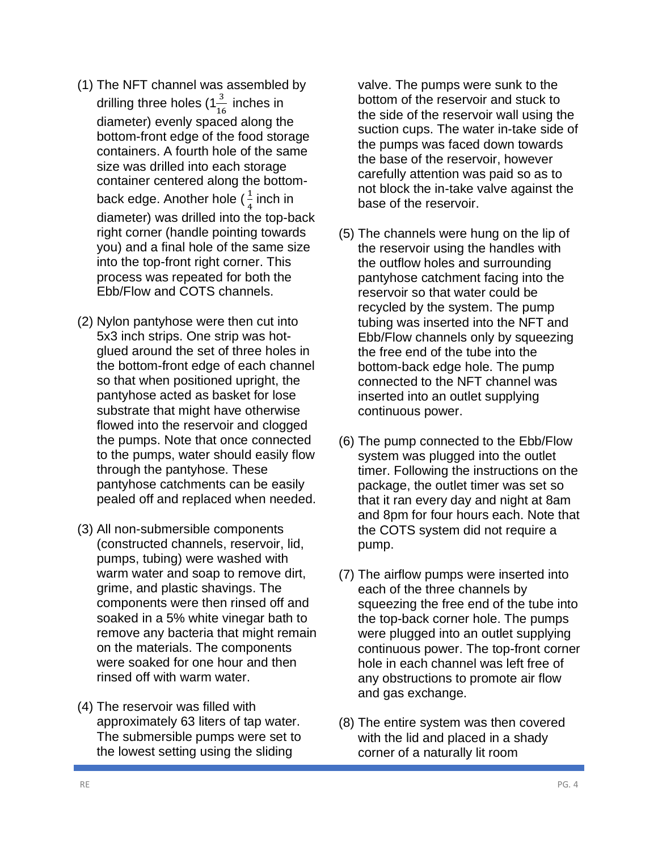- (1) The NFT channel was assembled by drilling three holes (1 $\frac{3}{16}$  inches in diameter) evenly spaced along the bottom-front edge of the food storage containers. A fourth hole of the same size was drilled into each storage container centered along the bottomback edge. Another hole ( $\frac{1}{4}$  $\frac{1}{4}$  inch in diameter) was drilled into the top-back right corner (handle pointing towards you) and a final hole of the same size into the top-front right corner. This process was repeated for both the Ebb/Flow and COTS channels.
- (2) Nylon pantyhose were then cut into 5x3 inch strips. One strip was hotglued around the set of three holes in the bottom-front edge of each channel so that when positioned upright, the pantyhose acted as basket for lose substrate that might have otherwise flowed into the reservoir and clogged the pumps. Note that once connected to the pumps, water should easily flow through the pantyhose. These pantyhose catchments can be easily pealed off and replaced when needed.
- (3) All non-submersible components (constructed channels, reservoir, lid, pumps, tubing) were washed with warm water and soap to remove dirt, grime, and plastic shavings. The components were then rinsed off and soaked in a 5% white vinegar bath to remove any bacteria that might remain on the materials. The components were soaked for one hour and then rinsed off with warm water.
- (4) The reservoir was filled with approximately 63 liters of tap water. The submersible pumps were set to the lowest setting using the sliding

valve. The pumps were sunk to the bottom of the reservoir and stuck to the side of the reservoir wall using the suction cups. The water in-take side of the pumps was faced down towards the base of the reservoir, however carefully attention was paid so as to not block the in-take valve against the base of the reservoir.

- (5) The channels were hung on the lip of the reservoir using the handles with the outflow holes and surrounding pantyhose catchment facing into the reservoir so that water could be recycled by the system. The pump tubing was inserted into the NFT and Ebb/Flow channels only by squeezing the free end of the tube into the bottom-back edge hole. The pump connected to the NFT channel was inserted into an outlet supplying continuous power.
- (6) The pump connected to the Ebb/Flow system was plugged into the outlet timer. Following the instructions on the package, the outlet timer was set so that it ran every day and night at 8am and 8pm for four hours each. Note that the COTS system did not require a pump.
- (7) The airflow pumps were inserted into each of the three channels by squeezing the free end of the tube into the top-back corner hole. The pumps were plugged into an outlet supplying continuous power. The top-front corner hole in each channel was left free of any obstructions to promote air flow and gas exchange.
- (8) The entire system was then covered with the lid and placed in a shady corner of a naturally lit room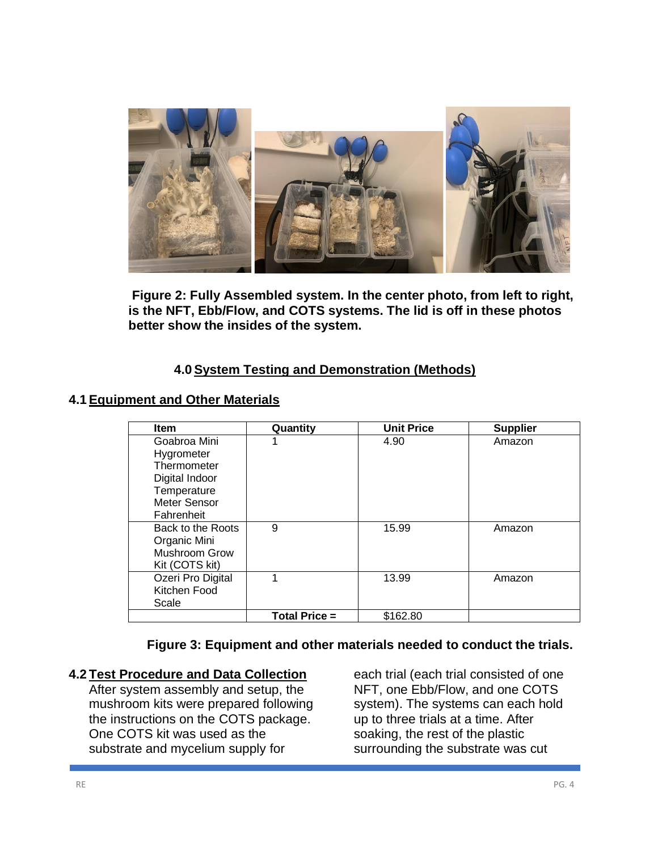

**Figure 2: Fully Assembled system. In the center photo, from left to right, is the NFT, Ebb/Flow, and COTS systems. The lid is off in these photos better show the insides of the system.** 

## **4.0 System Testing and Demonstration (Methods)**

### **4.1 Equipment and Other Materials**

| <b>Item</b>          | Quantity             | <b>Unit Price</b> | <b>Supplier</b> |
|----------------------|----------------------|-------------------|-----------------|
| Goabroa Mini         |                      | 4.90              | Amazon          |
| Hygrometer           |                      |                   |                 |
| Thermometer          |                      |                   |                 |
| Digital Indoor       |                      |                   |                 |
| Temperature          |                      |                   |                 |
| Meter Sensor         |                      |                   |                 |
| Fahrenheit           |                      |                   |                 |
| Back to the Roots    | 9                    | 15.99             | Amazon          |
| Organic Mini         |                      |                   |                 |
| <b>Mushroom Grow</b> |                      |                   |                 |
| Kit (COTS kit)       |                      |                   |                 |
| Ozeri Pro Digital    | 1                    | 13.99             | Amazon          |
| Kitchen Food         |                      |                   |                 |
| Scale                |                      |                   |                 |
|                      | <b>Total Price =</b> | \$162.80          |                 |

## **Figure 3: Equipment and other materials needed to conduct the trials.**

### **4.2 Test Procedure and Data Collection**

After system assembly and setup, the mushroom kits were prepared following the instructions on the COTS package. One COTS kit was used as the substrate and mycelium supply for

each trial (each trial consisted of one NFT, one Ebb/Flow, and one COTS system). The systems can each hold up to three trials at a time. After soaking, the rest of the plastic surrounding the substrate was cut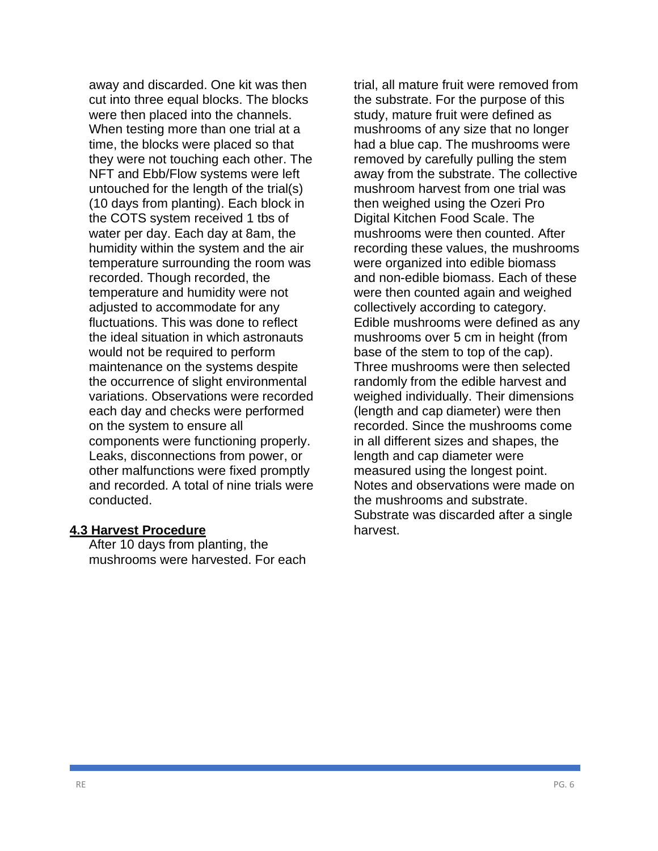away and discarded. One kit was then cut into three equal blocks. The blocks were then placed into the channels. When testing more than one trial at a time, the blocks were placed so that they were not touching each other. The NFT and Ebb/Flow systems were left untouched for the length of the trial(s) (10 days from planting). Each block in the COTS system received 1 tbs of water per day. Each day at 8am, the humidity within the system and the air temperature surrounding the room was recorded. Though recorded, the temperature and humidity were not adjusted to accommodate for any fluctuations. This was done to reflect the ideal situation in which astronauts would not be required to perform maintenance on the systems despite the occurrence of slight environmental variations. Observations were recorded each day and checks were performed on the system to ensure all components were functioning properly. Leaks, disconnections from power, or other malfunctions were fixed promptly and recorded. A total of nine trials were conducted.

#### **4.3 Harvest Procedure**

After 10 days from planting, the mushrooms were harvested. For each trial, all mature fruit were removed from the substrate. For the purpose of this study, mature fruit were defined as mushrooms of any size that no longer had a blue cap. The mushrooms were removed by carefully pulling the stem away from the substrate. The collective mushroom harvest from one trial was then weighed using the Ozeri Pro Digital Kitchen Food Scale. The mushrooms were then counted. After recording these values, the mushrooms were organized into edible biomass and non-edible biomass. Each of these were then counted again and weighed collectively according to category. Edible mushrooms were defined as any mushrooms over 5 cm in height (from base of the stem to top of the cap). Three mushrooms were then selected randomly from the edible harvest and weighed individually. Their dimensions (length and cap diameter) were then recorded. Since the mushrooms come in all different sizes and shapes, the length and cap diameter were measured using the longest point. Notes and observations were made on the mushrooms and substrate. Substrate was discarded after a single harvest.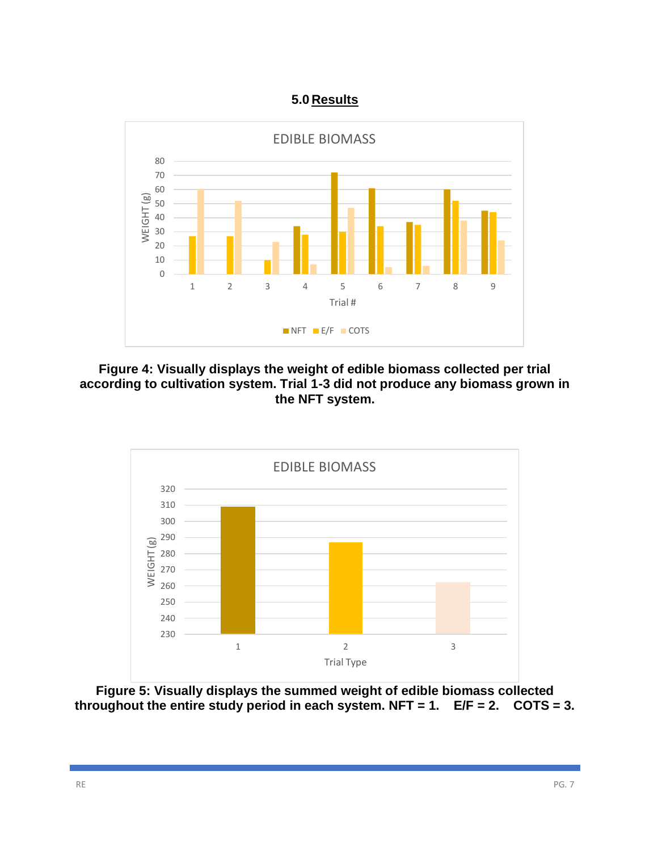# **5.0 Results**



**Figure 4: Visually displays the weight of edible biomass collected per trial according to cultivation system. Trial 1-3 did not produce any biomass grown in the NFT system.**



**Figure 5: Visually displays the summed weight of edible biomass collected throughout the entire study period in each system. NFT = 1. E/F = 2. COTS = 3.**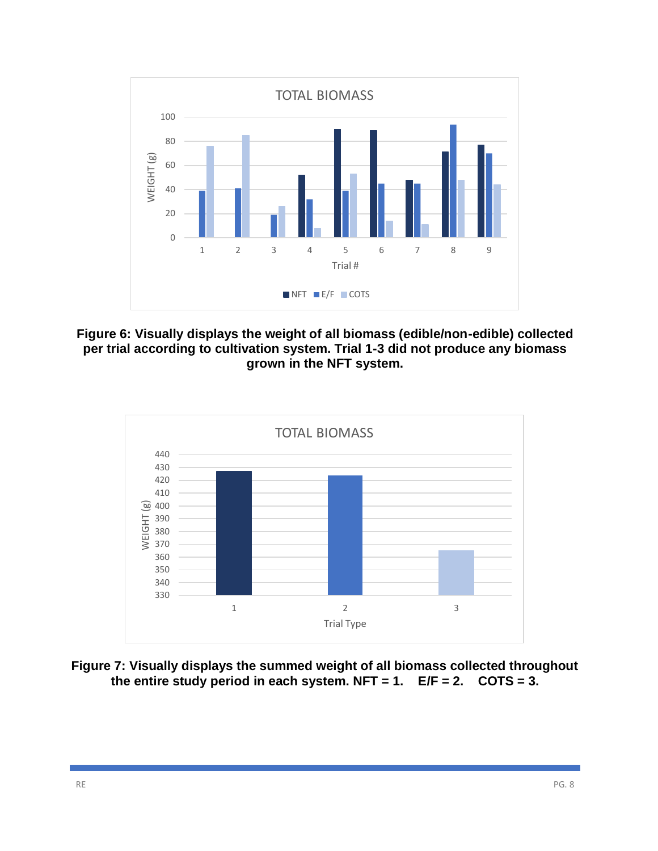

**Figure 6: Visually displays the weight of all biomass (edible/non-edible) collected per trial according to cultivation system. Trial 1-3 did not produce any biomass grown in the NFT system.**



**Figure 7: Visually displays the summed weight of all biomass collected throughout the entire study period in each system. NFT = 1. E/F = 2. COTS = 3.**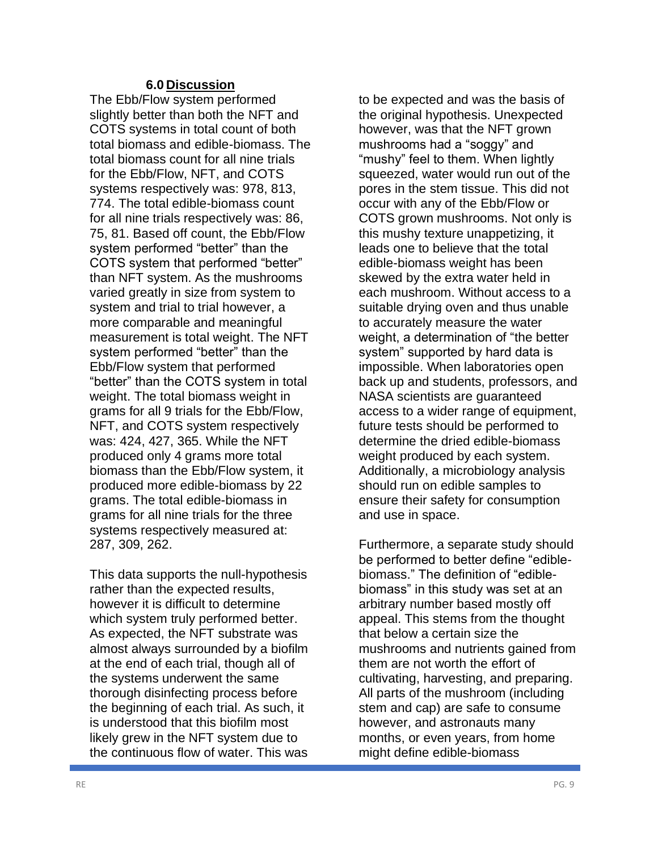#### **6.0 Discussion**

The Ebb/Flow system performed slightly better than both the NFT and COTS systems in total count of both total biomass and edible-biomass. The total biomass count for all nine trials for the Ebb/Flow, NFT, and COTS systems respectively was: 978, 813, 774. The total edible-biomass count for all nine trials respectively was: 86, 75, 81. Based off count, the Ebb/Flow system performed "better" than the COTS system that performed "better" than NFT system. As the mushrooms varied greatly in size from system to system and trial to trial however, a more comparable and meaningful measurement is total weight. The NFT system performed "better" than the Ebb/Flow system that performed "better" than the COTS system in total weight. The total biomass weight in grams for all 9 trials for the Ebb/Flow, NFT, and COTS system respectively was: 424, 427, 365. While the NFT produced only 4 grams more total biomass than the Ebb/Flow system, it produced more edible-biomass by 22 grams. The total edible-biomass in grams for all nine trials for the three systems respectively measured at: 287, 309, 262.

This data supports the null-hypothesis rather than the expected results, however it is difficult to determine which system truly performed better. As expected, the NFT substrate was almost always surrounded by a biofilm at the end of each trial, though all of the systems underwent the same thorough disinfecting process before the beginning of each trial. As such, it is understood that this biofilm most likely grew in the NFT system due to the continuous flow of water. This was

to be expected and was the basis of the original hypothesis. Unexpected however, was that the NFT grown mushrooms had a "soggy" and "mushy" feel to them. When lightly squeezed, water would run out of the pores in the stem tissue. This did not occur with any of the Ebb/Flow or COTS grown mushrooms. Not only is this mushy texture unappetizing, it leads one to believe that the total edible-biomass weight has been skewed by the extra water held in each mushroom. Without access to a suitable drying oven and thus unable to accurately measure the water weight, a determination of "the better system" supported by hard data is impossible. When laboratories open back up and students, professors, and NASA scientists are guaranteed access to a wider range of equipment, future tests should be performed to determine the dried edible-biomass weight produced by each system. Additionally, a microbiology analysis should run on edible samples to ensure their safety for consumption and use in space.

Furthermore, a separate study should be performed to better define "ediblebiomass." The definition of "ediblebiomass" in this study was set at an arbitrary number based mostly off appeal. This stems from the thought that below a certain size the mushrooms and nutrients gained from them are not worth the effort of cultivating, harvesting, and preparing. All parts of the mushroom (including stem and cap) are safe to consume however, and astronauts many months, or even years, from home might define edible-biomass